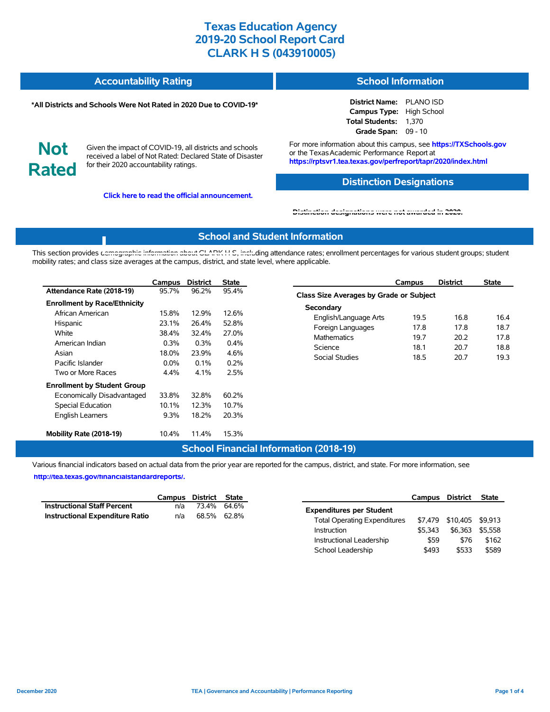| <b>Accountability Rating</b> | <b>School Information</b> |
|------------------------------|---------------------------|
|                              |                           |

#### **\*All Districts and Schools Were Not Rated in 2020 Due to COVID-19\***

#### **District Name:** PLANO ISD **Campus Type:** High School **Total Students:** 1,370 **Grade Span:** 09 - 10

**Not Rated**

Given the impact of COVID-19, all districts and schools received a label of Not Rated: Declared State of Disaster for their 2020 accountability ratings.

**Click here to read the official announcement.**

For more information about this campus, see **https://TXSchools.gov** or the Texas Academic Performance Report at **https://rptsvr1.tea.texas.gov/perfreport/tapr/2020/index.html**

### **Distinction Designations**

Instructional Leadership  $$59$  \$76 \$162 School Leadership  $$493$  \$533 \$589

#### **[Distinction designations were not awarded in 2020.](https://rptsvr1.tea.texas.gov/perfreport/tapr/2020/index.html)**

#### **School and Student Information**

This section provides [demographic information about CLARK H S, inclu](https://tea.texas.gov/about-tea/news-and-multimedia/correspondence/taa-letters/every-student-succeeds-act-essa-waiver-approval-2020-state-academic-accountability)ding attendance rates; enrollment percentages for various student groups; student mobility rates; and class size averages at the campus, district, and state level, where applicable.

|                                                                                                                                       | Campus                                              | <b>District</b>                                  | <b>State</b>                                            | <b>District</b><br><b>State</b><br>Campus                                                                                                                                                                                                 |  |  |  |  |  |  |  |
|---------------------------------------------------------------------------------------------------------------------------------------|-----------------------------------------------------|--------------------------------------------------|---------------------------------------------------------|-------------------------------------------------------------------------------------------------------------------------------------------------------------------------------------------------------------------------------------------|--|--|--|--|--|--|--|
| Attendance Rate (2018-19)                                                                                                             | 95.7%                                               | 96.2%                                            | 95.4%                                                   | Class Size Averages by Grade or Subject                                                                                                                                                                                                   |  |  |  |  |  |  |  |
| <b>Enrollment by Race/Ethnicity</b><br>African American<br>Hispanic<br>White<br>American Indian<br>Asian<br>Pacific Islander          | 15.8%<br>23.1%<br>38.4%<br>0.3%<br>18.0%<br>$0.0\%$ | 12.9%<br>26.4%<br>32.4%<br>0.3%<br>23.9%<br>0.1% | 12.6%<br>52.8%<br>27.0%<br>0.4%<br>4.6%<br>0.2%<br>2.5% | Secondary<br>19.5<br>16.8<br>16.4<br>English/Language Arts<br>18.7<br>Foreign Languages<br>17.8<br>17.8<br>19.7<br>17.8<br><b>Mathematics</b><br>20.2<br>18.1<br>18.8<br>Science<br>20.7<br><b>Social Studies</b><br>18.5<br>20.7<br>19.3 |  |  |  |  |  |  |  |
| Two or More Races<br><b>Enrollment by Student Group</b><br>Economically Disadvantaged<br>Special Education<br><b>English Learners</b> | 4.4%<br>33.8%<br>10.1%<br>9.3%                      | 4.1%<br>32.8%<br>12.3%<br>18.2%                  | 60.2%<br>10.7%<br>20.3%                                 |                                                                                                                                                                                                                                           |  |  |  |  |  |  |  |
| Mobility Rate (2018-19)                                                                                                               | 10.4%                                               | 11.4%                                            | 15.3%                                                   |                                                                                                                                                                                                                                           |  |  |  |  |  |  |  |

### **School Financial Information (2018-19)**

Various financial indicators based on actual data from the prior year are reported for the campus, district, and state. For more information, see

**[http://tea.texas.gov/financialstandardreports/.](http://tea.texas.gov/financialstandardreports/)**

|                                        |     | Campus District State | Campus                              | District                 | State |
|----------------------------------------|-----|-----------------------|-------------------------------------|--------------------------|-------|
| <b>Instructional Staff Percent</b>     | n/a | 73.4% 64.6%           | <b>Expenditures per Student</b>     |                          |       |
| <b>Instructional Expenditure Ratio</b> | n/a | 68.5% 62.8%           | <b>Total Operating Expenditures</b> | \$7,479 \$10,405 \$9,913 |       |
|                                        |     |                       | \$5.343<br>Instruction              | \$6,363 \$5,558          |       |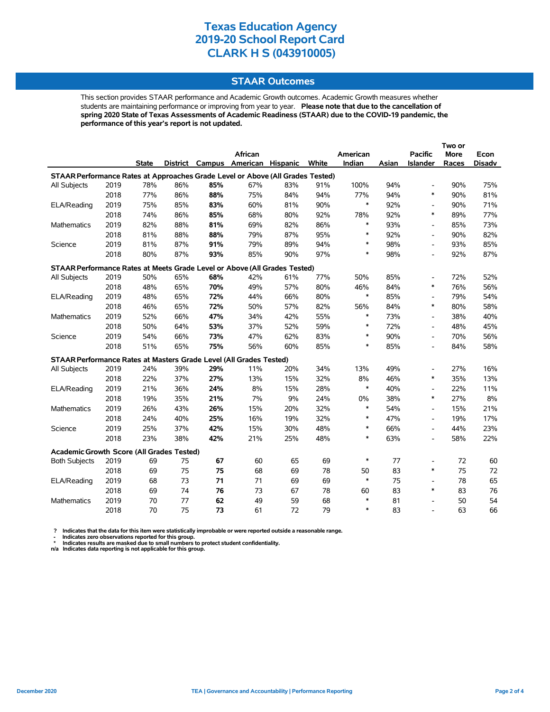### **STAAR Outcomes**

This section provides STAAR performance and Academic Growth outcomes. Academic Growth measures whether students are maintaining performance or improving from year to year. **Please note that due to the cancellation of spring 2020 State of Texas Assessments of Academic Readiness (STAAR) due to the COVID-19 pandemic, the performance of this year's report is not updated.**

|                                                                                |      |              |     |     | African                           |     |       | American |       | <b>Pacific</b>           | More  | Econ          |
|--------------------------------------------------------------------------------|------|--------------|-----|-----|-----------------------------------|-----|-------|----------|-------|--------------------------|-------|---------------|
|                                                                                |      | <b>State</b> |     |     | District Campus American Hispanic |     | White | Indian   | Asian | Islander                 | Races | <b>Disadv</b> |
| STAAR Performance Rates at Approaches Grade Level or Above (All Grades Tested) |      |              |     |     |                                   |     |       |          |       |                          |       |               |
| All Subjects                                                                   | 2019 | 78%          | 86% | 85% | 67%                               | 83% | 91%   | 100%     | 94%   | $\overline{\phantom{a}}$ | 90%   | 75%           |
|                                                                                | 2018 | 77%          | 86% | 88% | 75%                               | 84% | 94%   | 77%      | 94%   | $\ast$                   | 90%   | 81%           |
| ELA/Reading                                                                    | 2019 | 75%          | 85% | 83% | 60%                               | 81% | 90%   | $\ast$   | 92%   | $\overline{\phantom{a}}$ | 90%   | 71%           |
|                                                                                | 2018 | 74%          | 86% | 85% | 68%                               | 80% | 92%   | 78%      | 92%   | $\ast$                   | 89%   | 77%           |
| <b>Mathematics</b>                                                             | 2019 | 82%          | 88% | 81% | 69%                               | 82% | 86%   | $\ast$   | 93%   | $\overline{\phantom{a}}$ | 85%   | 73%           |
|                                                                                | 2018 | 81%          | 88% | 88% | 79%                               | 87% | 95%   | $\ast$   | 92%   | $\overline{\phantom{a}}$ | 90%   | 82%           |
| Science                                                                        | 2019 | 81%          | 87% | 91% | 79%                               | 89% | 94%   | $\ast$   | 98%   | $\overline{\phantom{a}}$ | 93%   | 85%           |
|                                                                                | 2018 | 80%          | 87% | 93% | 85%                               | 90% | 97%   | $\ast$   | 98%   | $\overline{\phantom{a}}$ | 92%   | 87%           |
| STAAR Performance Rates at Meets Grade Level or Above (All Grades Tested)      |      |              |     |     |                                   |     |       |          |       |                          |       |               |
| All Subjects                                                                   | 2019 | 50%          | 65% | 68% | 42%                               | 61% | 77%   | 50%      | 85%   | Ĭ.                       | 72%   | 52%           |
|                                                                                | 2018 | 48%          | 65% | 70% | 49%                               | 57% | 80%   | 46%      | 84%   | $\ast$                   | 76%   | 56%           |
| ELA/Reading                                                                    | 2019 | 48%          | 65% | 72% | 44%                               | 66% | 80%   | $\ast$   | 85%   | $\overline{\phantom{a}}$ | 79%   | 54%           |
|                                                                                | 2018 | 46%          | 65% | 72% | 50%                               | 57% | 82%   | 56%      | 84%   | $\ast$                   | 80%   | 58%           |
| <b>Mathematics</b>                                                             | 2019 | 52%          | 66% | 47% | 34%                               | 42% | 55%   | $\ast$   | 73%   | $\overline{\phantom{a}}$ | 38%   | 40%           |
|                                                                                | 2018 | 50%          | 64% | 53% | 37%                               | 52% | 59%   | $\ast$   | 72%   | $\overline{\phantom{a}}$ | 48%   | 45%           |
| Science                                                                        | 2019 | 54%          | 66% | 73% | 47%                               | 62% | 83%   | $\ast$   | 90%   | $\blacksquare$           | 70%   | 56%           |
|                                                                                | 2018 | 51%          | 65% | 75% | 56%                               | 60% | 85%   | $\ast$   | 85%   | $\overline{a}$           | 84%   | 58%           |
| STAAR Performance Rates at Masters Grade Level (All Grades Tested)             |      |              |     |     |                                   |     |       |          |       |                          |       |               |
| All Subjects                                                                   | 2019 | 24%          | 39% | 29% | 11%                               | 20% | 34%   | 13%      | 49%   | $\overline{\phantom{a}}$ | 27%   | 16%           |
|                                                                                | 2018 | 22%          | 37% | 27% | 13%                               | 15% | 32%   | 8%       | 46%   | $\ast$                   | 35%   | 13%           |
| ELA/Reading                                                                    | 2019 | 21%          | 36% | 24% | 8%                                | 15% | 28%   | $\ast$   | 40%   | $\overline{\phantom{a}}$ | 22%   | 11%           |
|                                                                                | 2018 | 19%          | 35% | 21% | 7%                                | 9%  | 24%   | 0%       | 38%   | $\ast$                   | 27%   | 8%            |
| <b>Mathematics</b>                                                             | 2019 | 26%          | 43% | 26% | 15%                               | 20% | 32%   | $\ast$   | 54%   | $\overline{\phantom{a}}$ | 15%   | 21%           |
|                                                                                | 2018 | 24%          | 40% | 25% | 16%                               | 19% | 32%   | $\ast$   | 47%   | $\overline{a}$           | 19%   | 17%           |
| Science                                                                        | 2019 | 25%          | 37% | 42% | 15%                               | 30% | 48%   | $\ast$   | 66%   | $\overline{a}$           | 44%   | 23%           |
|                                                                                | 2018 | 23%          | 38% | 42% | 21%                               | 25% | 48%   | $\ast$   | 63%   | $\overline{a}$           | 58%   | 22%           |
| Academic Growth Score (All Grades Tested)                                      |      |              |     |     |                                   |     |       |          |       |                          |       |               |
| <b>Both Subjects</b>                                                           | 2019 | 69           | 75  | 67  | 60                                | 65  | 69    | $\ast$   | 77    | $\overline{\phantom{a}}$ | 72    | 60            |
|                                                                                | 2018 | 69           | 75  | 75  | 68                                | 69  | 78    | 50       | 83    | $\ast$                   | 75    | 72            |
| ELA/Reading                                                                    | 2019 | 68           | 73  | 71  | 71                                | 69  | 69    | $\ast$   | 75    | $\overline{\phantom{a}}$ | 78    | 65            |
|                                                                                | 2018 | 69           | 74  | 76  | 73                                | 67  | 78    | 60       | 83    | $\ast$                   | 83    | 76            |
| Mathematics                                                                    | 2019 | 70           | 77  | 62  | 49                                | 59  | 68    | $\ast$   | 81    | Ĭ.                       | 50    | 54            |
|                                                                                | 2018 | 70           | 75  | 73  | 61                                | 72  | 79    | $\ast$   | 83    | $\blacksquare$           | 63    | 66            |

? Indicates that the data for this item were statistically improbable or were reported outside a reasonable range.<br>- Indicates zero observations reported for this group.<br>\* Indicates results are masked due to small numbers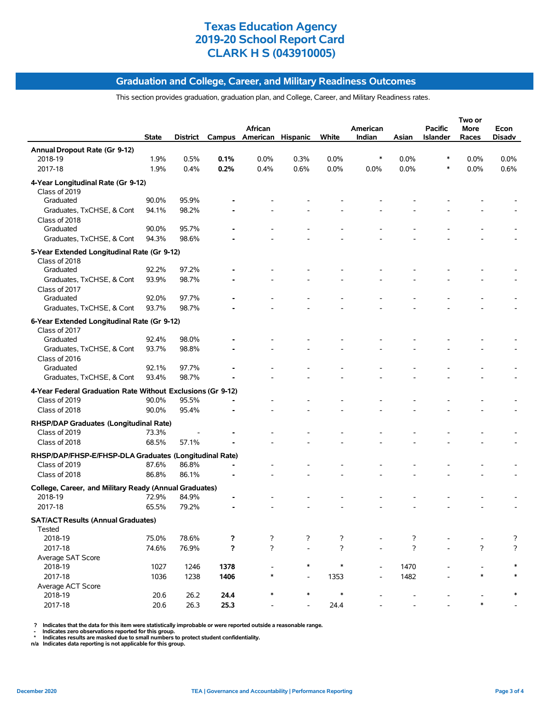#### **Graduation and College, Career, and Military Readiness Outcomes**

This section provides graduation, graduation plan, and College, Career, and Military Readiness rates.

|                                                                   | State | District |                | African<br>Campus American Hispanic |                | White          | American<br>Indian | Asian          | <b>Pacific</b><br>Islander | Two or<br>More<br>Races | Econ<br>Disadv |
|-------------------------------------------------------------------|-------|----------|----------------|-------------------------------------|----------------|----------------|--------------------|----------------|----------------------------|-------------------------|----------------|
| Annual Dropout Rate (Gr 9-12)                                     |       |          |                |                                     |                |                |                    |                |                            |                         |                |
| 2018-19                                                           | 1.9%  | 0.5%     | 0.1%           | 0.0%                                | 0.3%           | 0.0%           | ∗                  | 0.0%           |                            | 0.0%                    | 0.0%           |
| 2017-18                                                           | 1.9%  | 0.4%     | 0.2%           | 0.4%                                | 0.6%           | 0.0%           | 0.0%               | 0.0%           |                            | 0.0%                    | 0.6%           |
| 4-Year Longitudinal Rate (Gr 9-12)<br>Class of 2019               |       |          |                |                                     |                |                |                    |                |                            |                         |                |
| Graduated                                                         | 90.0% | 95.9%    |                |                                     |                |                |                    |                |                            |                         |                |
| Graduates, TxCHSE, & Cont                                         | 94.1% | 98.2%    |                |                                     |                |                |                    |                |                            |                         |                |
| Class of 2018                                                     |       |          |                |                                     |                |                |                    |                |                            |                         |                |
| Graduated                                                         | 90.0% | 95.7%    |                |                                     |                |                |                    |                |                            |                         |                |
| Graduates, TxCHSE, & Cont                                         | 94.3% | 98.6%    |                |                                     |                |                |                    |                |                            |                         |                |
| 5-Year Extended Longitudinal Rate (Gr 9-12)<br>Class of 2018      |       |          |                |                                     |                |                |                    |                |                            |                         |                |
| Graduated                                                         | 92.2% | 97.2%    |                |                                     |                |                |                    |                |                            |                         |                |
| Graduates, TxCHSE, & Cont                                         | 93.9% | 98.7%    |                |                                     |                |                |                    |                |                            |                         |                |
| Class of 2017                                                     |       |          |                |                                     |                |                |                    |                |                            |                         |                |
| Graduated                                                         | 92.0% | 97.7%    |                |                                     |                |                |                    |                |                            |                         |                |
| Graduates, TxCHSE, & Cont                                         | 93.7% | 98.7%    |                |                                     |                |                |                    |                |                            |                         |                |
| 6-Year Extended Longitudinal Rate (Gr 9-12)<br>Class of 2017      |       |          |                |                                     |                |                |                    |                |                            |                         |                |
| Graduated                                                         | 92.4% | 98.0%    |                |                                     |                |                |                    |                |                            |                         |                |
| Graduates, TxCHSE, & Cont                                         | 93.7% | 98.8%    |                |                                     |                |                |                    |                |                            |                         |                |
| Class of 2016                                                     |       |          |                |                                     |                |                |                    |                |                            |                         |                |
| Graduated                                                         | 92.1% | 97.7%    |                |                                     |                |                |                    |                |                            |                         |                |
| Graduates, TxCHSE, & Cont                                         | 93.4% | 98.7%    |                |                                     |                |                |                    |                |                            |                         |                |
| 4-Year Federal Graduation Rate Without Exclusions (Gr 9-12)       |       |          |                |                                     |                |                |                    |                |                            |                         |                |
| Class of 2019                                                     | 90.0% | 95.5%    |                |                                     |                |                |                    |                |                            |                         |                |
| Class of 2018                                                     | 90.0% | 95.4%    |                |                                     |                |                |                    |                |                            |                         |                |
| RHSP/DAP Graduates (Longitudinal Rate)                            |       |          |                |                                     |                |                |                    |                |                            |                         |                |
| Class of 2019                                                     | 73.3% |          |                |                                     |                |                |                    |                |                            |                         |                |
| Class of 2018                                                     | 68.5% | 57.1%    |                |                                     |                |                |                    |                |                            |                         |                |
| RHSP/DAP/FHSP-E/FHSP-DLA Graduates (Longitudinal Rate)            |       |          |                |                                     |                |                |                    |                |                            |                         |                |
| Class of 2019                                                     | 87.6% | 86.8%    | $\blacksquare$ |                                     |                |                |                    |                |                            |                         |                |
| Class of 2018                                                     | 86.8% | 86.1%    |                |                                     |                |                |                    |                |                            |                         |                |
| College, Career, and Military Ready (Annual Graduates)<br>2018-19 | 72.9% | 84.9%    |                |                                     |                |                |                    |                |                            |                         |                |
| 2017-18                                                           | 65.5% | 79.2%    |                |                                     |                |                |                    |                |                            |                         |                |
|                                                                   |       |          |                |                                     |                |                |                    |                |                            |                         |                |
| <b>SAT/ACT Results (Annual Graduates)</b><br>Tested               |       |          |                |                                     |                |                |                    |                |                            |                         |                |
| 2018-19                                                           | 75.0% | 78.6%    | ?              | ?                                   | $\overline{?}$ | ?              |                    | ?              |                            |                         | ?              |
| 2017-18                                                           | 74.6% | 76.9%    | ?              | $\overline{?}$                      | $\frac{1}{2}$  | $\overline{?}$ |                    | $\overline{?}$ |                            | $\overline{?}$          | $\overline{?}$ |
| Average SAT Score<br>2018-19                                      | 1027  | 1246     | 1378           |                                     | $\ast$         | $\ast$         |                    | 1470           |                            |                         |                |
| 2017-18                                                           | 1036  | 1238     | 1406           | *                                   | $\overline{a}$ | 1353           |                    | 1482           |                            | *                       | $\ast$         |
| Average ACT Score                                                 |       |          |                |                                     |                |                |                    |                |                            |                         |                |
| 2018-19                                                           | 20.6  | 26.2     | 24.4           | $\ast$                              | $\ast$         | $\ast$         |                    |                |                            | *                       |                |
| 2017-18                                                           | 20.6  | 26.3     | 25.3           |                                     |                | 24.4           |                    |                |                            |                         |                |

? Indicates that the data for this item were statistically improbable or were reported outside a reasonable range.<br>- Indicates zero observations reported for this group.<br>\* Indicates results are masked due to small numbers